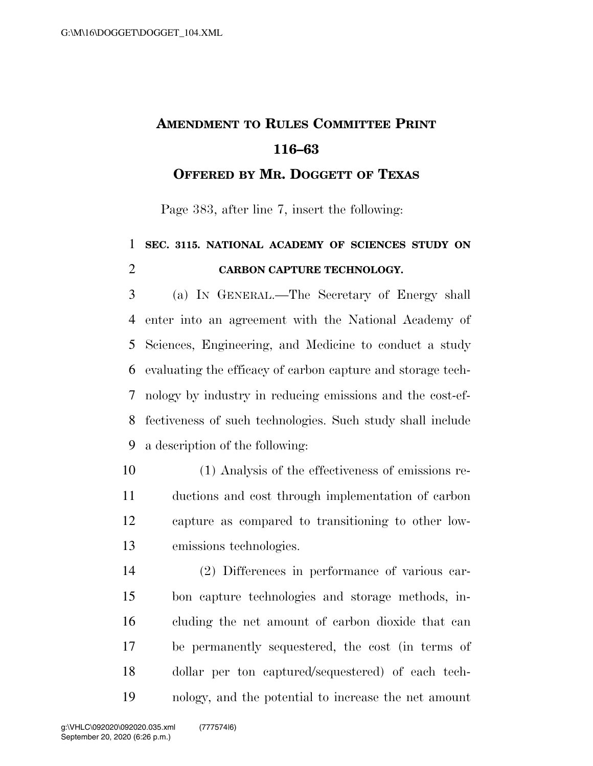## **AMENDMENT TO RULES COMMITTEE PRINT 116–63**

**OFFERED BY MR. DOGGETT OF TEXAS**

Page 383, after line 7, insert the following:

## **SEC. 3115. NATIONAL ACADEMY OF SCIENCES STUDY ON CARBON CAPTURE TECHNOLOGY.**

 (a) IN GENERAL.—The Secretary of Energy shall enter into an agreement with the National Academy of Sciences, Engineering, and Medicine to conduct a study evaluating the efficacy of carbon capture and storage tech- nology by industry in reducing emissions and the cost-ef- fectiveness of such technologies. Such study shall include a description of the following:

 (1) Analysis of the effectiveness of emissions re- ductions and cost through implementation of carbon capture as compared to transitioning to other low-emissions technologies.

 (2) Differences in performance of various car- bon capture technologies and storage methods, in- cluding the net amount of carbon dioxide that can be permanently sequestered, the cost (in terms of dollar per ton captured/sequestered) of each tech-nology, and the potential to increase the net amount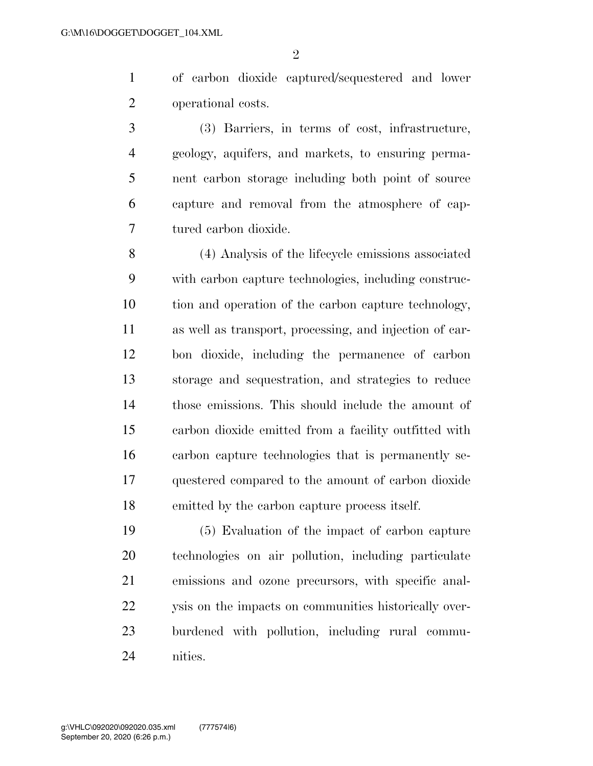$\mathfrak{D}$ 

 of carbon dioxide captured/sequestered and lower operational costs.

 (3) Barriers, in terms of cost, infrastructure, geology, aquifers, and markets, to ensuring perma- nent carbon storage including both point of source capture and removal from the atmosphere of cap-tured carbon dioxide.

 (4) Analysis of the lifecycle emissions associated with carbon capture technologies, including construc- tion and operation of the carbon capture technology, as well as transport, processing, and injection of car- bon dioxide, including the permanence of carbon storage and sequestration, and strategies to reduce those emissions. This should include the amount of carbon dioxide emitted from a facility outfitted with carbon capture technologies that is permanently se- questered compared to the amount of carbon dioxide emitted by the carbon capture process itself.

 (5) Evaluation of the impact of carbon capture technologies on air pollution, including particulate emissions and ozone precursors, with specific anal-22 ysis on the impacts on communities historically over- burdened with pollution, including rural commu-nities.